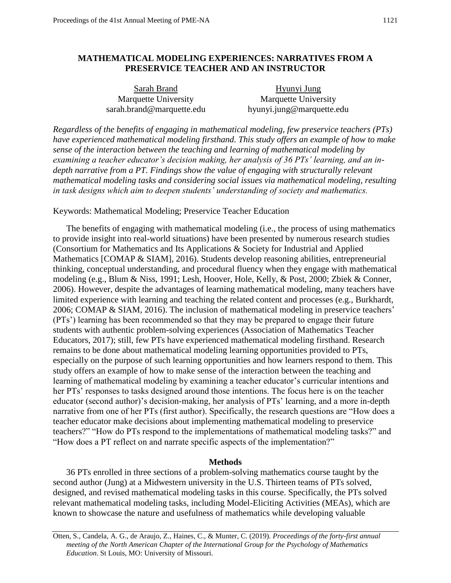# **MATHEMATICAL MODELING EXPERIENCES: NARRATIVES FROM A PRESERVICE TEACHER AND AN INSTRUCTOR**

Sarah Brand Hyunyi Jung Marquette University Marquette University sarah.brand@marquette.edu hyunyi.jung@marquette.edu

*Regardless of the benefits of engaging in mathematical modeling, few preservice teachers (PTs) have experienced mathematical modeling firsthand. This study offers an example of how to make sense of the interaction between the teaching and learning of mathematical modeling by examining a teacher educator's decision making, her analysis of 36 PTs' learning, and an indepth narrative from a PT. Findings show the value of engaging with structurally relevant mathematical modeling tasks and considering social issues via mathematical modeling, resulting in task designs which aim to deepen students' understanding of society and mathematics.*

Keywords: Mathematical Modeling; Preservice Teacher Education

The benefits of engaging with mathematical modeling (i.e., the process of using mathematics to provide insight into real-world situations) have been presented by numerous research studies (Consortium for Mathematics and Its Applications & Society for Industrial and Applied Mathematics [COMAP & SIAM], 2016). Students develop reasoning abilities, entrepreneurial thinking, conceptual understanding, and procedural fluency when they engage with mathematical modeling (e.g., Blum & Niss, 1991; Lesh, Hoover, Hole, Kelly, & Post, 2000; Zbiek & Conner, 2006). However, despite the advantages of learning mathematical modeling, many teachers have limited experience with learning and teaching the related content and processes (e.g., Burkhardt, 2006; COMAP & SIAM, 2016). The inclusion of mathematical modeling in preservice teachers' (PTs') learning has been recommended so that they may be prepared to engage their future students with authentic problem-solving experiences (Association of Mathematics Teacher Educators, 2017); still, few PTs have experienced mathematical modeling firsthand. Research remains to be done about mathematical modeling learning opportunities provided to PTs, especially on the purpose of such learning opportunities and how learners respond to them. This study offers an example of how to make sense of the interaction between the teaching and learning of mathematical modeling by examining a teacher educator's curricular intentions and her PTs' responses to tasks designed around those intentions. The focus here is on the teacher educator (second author)'s decision-making, her analysis of PTs' learning, and a more in-depth narrative from one of her PTs (first author). Specifically, the research questions are "How does a teacher educator make decisions about implementing mathematical modeling to preservice teachers?" "How do PTs respond to the implementations of mathematical modeling tasks?" and "How does a PT reflect on and narrate specific aspects of the implementation?"

## **Methods**

36 PTs enrolled in three sections of a problem-solving mathematics course taught by the second author (Jung) at a Midwestern university in the U.S. Thirteen teams of PTs solved, designed, and revised mathematical modeling tasks in this course. Specifically, the PTs solved relevant mathematical modeling tasks, including Model-Eliciting Activities (MEAs), which are known to showcase the nature and usefulness of mathematics while developing valuable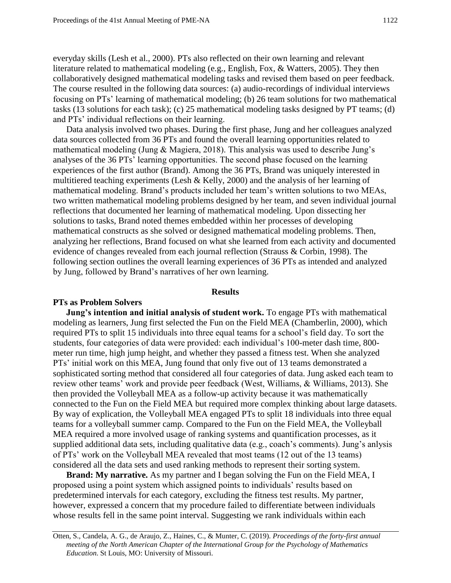everyday skills (Lesh et al., 2000). PTs also reflected on their own learning and relevant literature related to mathematical modeling (e.g., English, Fox, & Watters, 2005). They then collaboratively designed mathematical modeling tasks and revised them based on peer feedback. The course resulted in the following data sources: (a) audio-recordings of individual interviews focusing on PTs' learning of mathematical modeling; (b) 26 team solutions for two mathematical tasks (13 solutions for each task); (c) 25 mathematical modeling tasks designed by PT teams; (d) and PTs' individual reflections on their learning.

Data analysis involved two phases. During the first phase, Jung and her colleagues analyzed data sources collected from 36 PTs and found the overall learning opportunities related to mathematical modeling (Jung & Magiera, 2018). This analysis was used to describe Jung's analyses of the 36 PTs' learning opportunities. The second phase focused on the learning experiences of the first author (Brand). Among the 36 PTs, Brand was uniquely interested in multitiered teaching experiments (Lesh & Kelly, 2000) and the analysis of her learning of mathematical modeling. Brand's products included her team's written solutions to two MEAs, two written mathematical modeling problems designed by her team, and seven individual journal reflections that documented her learning of mathematical modeling. Upon dissecting her solutions to tasks, Brand noted themes embedded within her processes of developing mathematical constructs as she solved or designed mathematical modeling problems. Then, analyzing her reflections, Brand focused on what she learned from each activity and documented evidence of changes revealed from each journal reflection (Strauss & Corbin, 1998). The following section outlines the overall learning experiences of 36 PTs as intended and analyzed by Jung, followed by Brand's narratives of her own learning.

## **Results**

### **PTs as Problem Solvers**

**Jung's intention and initial analysis of student work.** To engage PTs with mathematical modeling as learners, Jung first selected the Fun on the Field MEA (Chamberlin, 2000), which required PTs to split 15 individuals into three equal teams for a school's field day. To sort the students, four categories of data were provided: each individual's 100-meter dash time, 800 meter run time, high jump height, and whether they passed a fitness test. When she analyzed PTs' initial work on this MEA, Jung found that only five out of 13 teams demonstrated a sophisticated sorting method that considered all four categories of data. Jung asked each team to review other teams' work and provide peer feedback (West, Williams, & Williams, 2013). She then provided the Volleyball MEA as a follow-up activity because it was mathematically connected to the Fun on the Field MEA but required more complex thinking about large datasets. By way of explication, the Volleyball MEA engaged PTs to split 18 individuals into three equal teams for a volleyball summer camp. Compared to the Fun on the Field MEA, the Volleyball MEA required a more involved usage of ranking systems and quantification processes, as it supplied additional data sets, including qualitative data (e.g., coach's comments). Jung's anlysis of PTs' work on the Volleyball MEA revealed that most teams (12 out of the 13 teams) considered all the data sets and used ranking methods to represent their sorting system.

**Brand: My narrative.** As my partner and I began solving the Fun on the Field MEA, I proposed using a point system which assigned points to individuals' results based on predetermined intervals for each category, excluding the fitness test results. My partner, however, expressed a concern that my procedure failed to differentiate between individuals whose results fell in the same point interval. Suggesting we rank individuals within each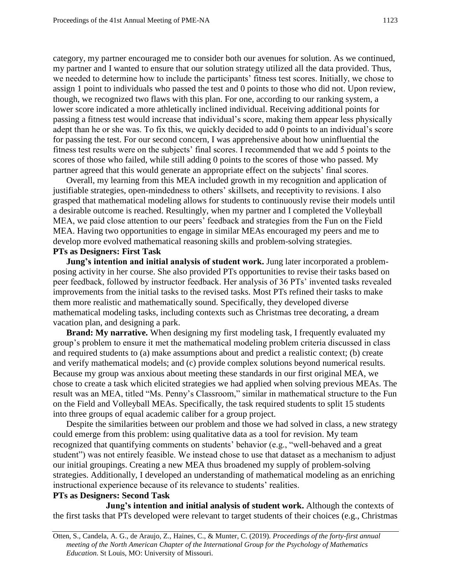category, my partner encouraged me to consider both our avenues for solution. As we continued, my partner and I wanted to ensure that our solution strategy utilized all the data provided. Thus, we needed to determine how to include the participants' fitness test scores. Initially, we chose to assign 1 point to individuals who passed the test and 0 points to those who did not. Upon review, though, we recognized two flaws with this plan. For one, according to our ranking system, a lower score indicated a more athletically inclined individual. Receiving additional points for passing a fitness test would increase that individual's score, making them appear less physically adept than he or she was. To fix this, we quickly decided to add 0 points to an individual's score for passing the test. For our second concern, I was apprehensive about how uninfluential the fitness test results were on the subjects' final scores. I recommended that we add 5 points to the scores of those who failed, while still adding 0 points to the scores of those who passed. My partner agreed that this would generate an appropriate effect on the subjects' final scores.

Overall, my learning from this MEA included growth in my recognition and application of justifiable strategies, open-mindedness to others' skillsets, and receptivity to revisions. I also grasped that mathematical modeling allows for students to continuously revise their models until a desirable outcome is reached. Resultingly, when my partner and I completed the Volleyball MEA, we paid close attention to our peers' feedback and strategies from the Fun on the Field MEA. Having two opportunities to engage in similar MEAs encouraged my peers and me to develop more evolved mathematical reasoning skills and problem-solving strategies.

# **PTs as Designers: First Task**

**Jung's intention and initial analysis of student work.** Jung later incorporated a problemposing activity in her course. She also provided PTs opportunities to revise their tasks based on peer feedback, followed by instructor feedback. Her analysis of 36 PTs' invented tasks revealed improvements from the initial tasks to the revised tasks. Most PTs refined their tasks to make them more realistic and mathematically sound. Specifically, they developed diverse mathematical modeling tasks, including contexts such as Christmas tree decorating, a dream vacation plan, and designing a park.

 into three groups of equal academic caliber for a group project. **Brand: My narrative.** When designing my first modeling task, I frequently evaluated my group's problem to ensure it met the mathematical modeling problem criteria discussed in class and required students to (a) make assumptions about and predict a realistic context; (b) create and verify mathematical models; and (c) provide complex solutions beyond numerical results. Because my group was anxious about meeting these standards in our first original MEA, we chose to create a task which elicited strategies we had applied when solving previous MEAs. The result was an MEA, titled "Ms. Penny's Classroom," similar in mathematical structure to the Fun on the Field and Volleyball MEAs. Specifically, the task required students to split 15 students

Despite the similarities between our problem and those we had solved in class, a new strategy could emerge from this problem: using qualitative data as a tool for revision. My team recognized that quantifying comments on students' behavior (e.g., "well-behaved and a great student") was not entirely feasible. We instead chose to use that dataset as a mechanism to adjust our initial groupings. Creating a new MEA thus broadened my supply of problem-solving strategies. Additionally, I developed an understanding of mathematical modeling as an enriching instructional experience because of its relevance to students' realities.

# **PTs as Designers: Second Task**

**Jung's intention and initial analysis of student work.** Although the contexts of the first tasks that PTs developed were relevant to target students of their choices (e.g., Christmas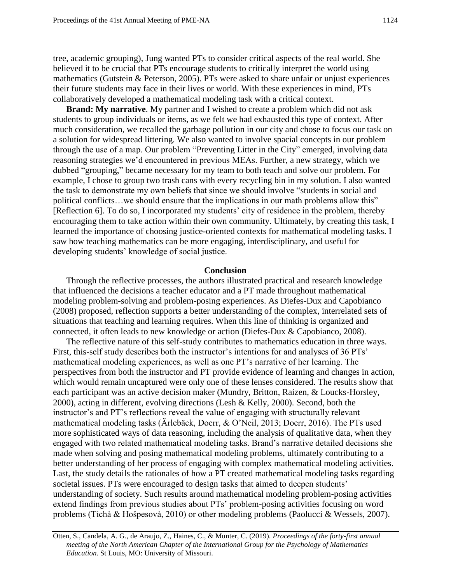tree, academic grouping), Jung wanted PTs to consider critical aspects of the real world. She believed it to be crucial that PTs encourage students to critically interpret the world using mathematics (Gutstein & Peterson, 2005). PTs were asked to share unfair or unjust experiences their future students may face in their lives or world. With these experiences in mind, PTs collaboratively developed a mathematical modeling task with a critical context.

**Brand: My narrative**. My partner and I wished to create a problem which did not ask students to group individuals or items, as we felt we had exhausted this type of context. After much consideration, we recalled the garbage pollution in our city and chose to focus our task on a solution for widespread littering. We also wanted to involve spacial concepts in our problem through the use of a map. Our problem "Preventing Litter in the City" emerged, involving data reasoning strategies we'd encountered in previous MEAs. Further, a new strategy, which we dubbed "grouping," became necessary for my team to both teach and solve our problem. For example, I chose to group two trash cans with every recycling bin in my solution. I also wanted the task to demonstrate my own beliefs that since we should involve "students in social and political conflicts…we should ensure that the implications in our math problems allow this" [Reflection 6]. To do so, I incorporated my students' city of residence in the problem, thereby encouraging them to take action within their own community. Ultimately, by creating this task, I learned the importance of choosing justice-oriented contexts for mathematical modeling tasks. I saw how teaching mathematics can be more engaging, interdisciplinary, and useful for developing students' knowledge of social justice.

### **Conclusion**

Through the reflective processes, the authors illustrated practical and research knowledge that influenced the decisions a teacher educator and a PT made throughout mathematical modeling problem-solving and problem-posing experiences. As Diefes-Dux and Capobianco (2008) proposed, reflection supports a better understanding of the complex, interrelated sets of situations that teaching and learning requires. When this line of thinking is organized and connected, it often leads to new knowledge or action (Diefes-Dux & Capobianco, 2008).

The reflective nature of this self-study contributes to mathematics education in three ways. First, this-self study describes both the instructor's intentions for and analyses of 36 PTs' mathematical modeling experiences, as well as one PT's narrative of her learning. The perspectives from both the instructor and PT provide evidence of learning and changes in action, which would remain uncaptured were only one of these lenses considered. The results show that each participant was an active decision maker (Mundry, Britton, Raizen, & Loucks-Horsley, 2000), acting in different, evolving directions (Lesh & Kelly, 2000). Second, both the instructor's and PT's reflections reveal the value of engaging with structurally relevant mathematical modeling tasks (Ärlebäck, Doerr, & O'Neil, 2013; Doerr, 2016). The PTs used more sophisticated ways of data reasoning, including the analysis of qualitative data, when they engaged with two related mathematical modeling tasks. Brand's narrative detailed decisions she made when solving and posing mathematical modeling problems, ultimately contributing to a better understanding of her process of engaging with complex mathematical modeling activities. Last, the study details the rationales of how a PT created mathematical modeling tasks regarding societal issues. PTs were encouraged to design tasks that aimed to deepen students' understanding of society. Such results around mathematical modeling problem-posing activities extend findings from previous studies about PTs' problem-posing activities focusing on word problems (Tichà & Hošpesovà, 2010) or other modeling problems (Paolucci & Wessels, 2007).